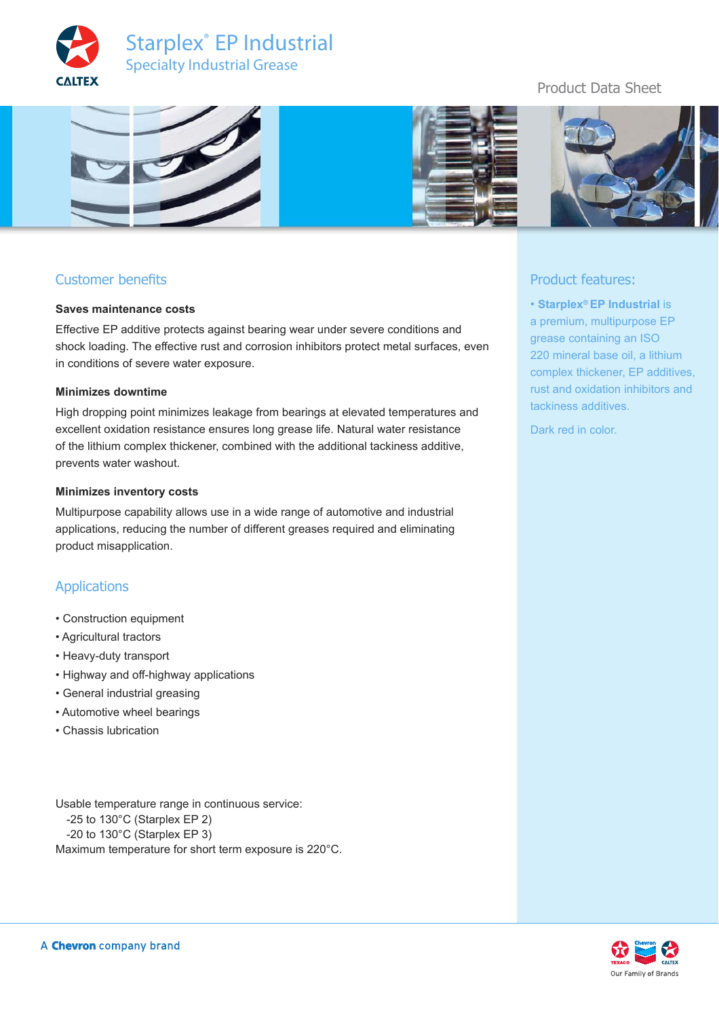



# Customer benefits

#### **Saves maintenance costs**

Effective EP additive protects against bearing wear under severe conditions and shock loading. The effective rust and corrosion inhibitors protect metal surfaces, even in conditions of severe water exposure.

#### **Minimizes downtime**

High dropping point minimizes leakage from bearings at elevated temperatures and excellent oxidation resistance ensures long grease life. Natural water resistance of the lithium complex thickener, combined with the additional tackiness additive, prevents water washout.

#### **Minimizes inventory costs**

Multipurpose capability allows use in a wide range of automotive and industrial applications, reducing the number of different greases required and eliminating product misapplication.

#### Applications

- Construction equipment
- Agricultural tractors
- Heavy-duty transport
- Highway and off-highway applications
- General industrial greasing
- Automotive wheel bearings
- Chassis lubrication

Usable temperature range in continuous service: -25 to 130°C (Starplex EP 2) -20 to 130°C (Starplex EP 3) Maximum temperature for short term exposure is 220°C.

a premium, multipurpose EP grease containing an ISO 220 mineral base oil, a lithium complex thickener, EP additives, rust and oxidation inhibitors and tackiness additives.

• **Starplex® EP Industrial** is

Dark red in color.

Product features: